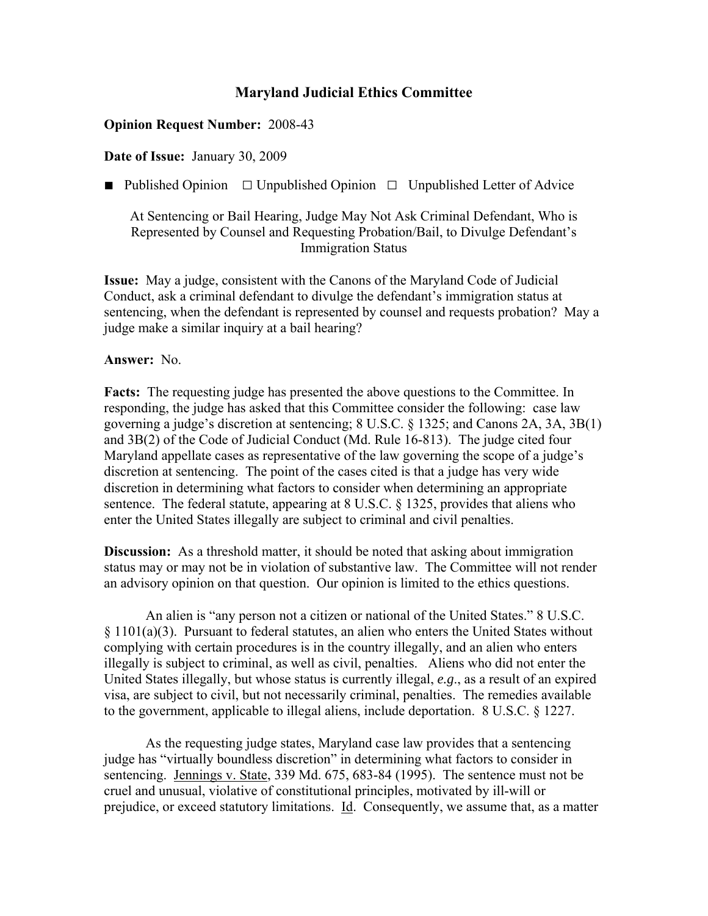## **Maryland Judicial Ethics Committee**

## **Opinion Request Number:** 2008-43

## **Date of Issue:** January 30, 2009

■ Published Opinion □ Unpublished Opinion □ Unpublished Letter of Advice

At Sentencing or Bail Hearing, Judge May Not Ask Criminal Defendant, Who is Represented by Counsel and Requesting Probation/Bail, to Divulge Defendant's Immigration Status

**Issue:** May a judge, consistent with the Canons of the Maryland Code of Judicial Conduct, ask a criminal defendant to divulge the defendant's immigration status at sentencing, when the defendant is represented by counsel and requests probation? May a judge make a similar inquiry at a bail hearing?

## **Answer:** No.

**Facts:** The requesting judge has presented the above questions to the Committee. In responding, the judge has asked that this Committee consider the following: case law governing a judge's discretion at sentencing; 8 U.S.C. § 1325; and Canons 2A, 3A, 3B(1) and 3B(2) of the Code of Judicial Conduct (Md. Rule 16-813). The judge cited four Maryland appellate cases as representative of the law governing the scope of a judge's discretion at sentencing. The point of the cases cited is that a judge has very wide discretion in determining what factors to consider when determining an appropriate sentence. The federal statute, appearing at 8 U.S.C. § 1325, provides that aliens who enter the United States illegally are subject to criminal and civil penalties.

**Discussion:** As a threshold matter, it should be noted that asking about immigration status may or may not be in violation of substantive law. The Committee will not render an advisory opinion on that question. Our opinion is limited to the ethics questions.

An alien is "any person not a citizen or national of the United States." 8 U.S.C. § 1101(a)(3). Pursuant to federal statutes, an alien who enters the United States without complying with certain procedures is in the country illegally, and an alien who enters illegally is subject to criminal, as well as civil, penalties. Aliens who did not enter the United States illegally, but whose status is currently illegal, *e.g*., as a result of an expired visa, are subject to civil, but not necessarily criminal, penalties. The remedies available to the government, applicable to illegal aliens, include deportation. 8 U.S.C. § 1227.

As the requesting judge states, Maryland case law provides that a sentencing judge has "virtually boundless discretion" in determining what factors to consider in sentencing. Jennings v. State, 339 Md. 675, 683-84 (1995). The sentence must not be cruel and unusual, violative of constitutional principles, motivated by ill-will or prejudice, or exceed statutory limitations. Id. Consequently, we assume that, as a matter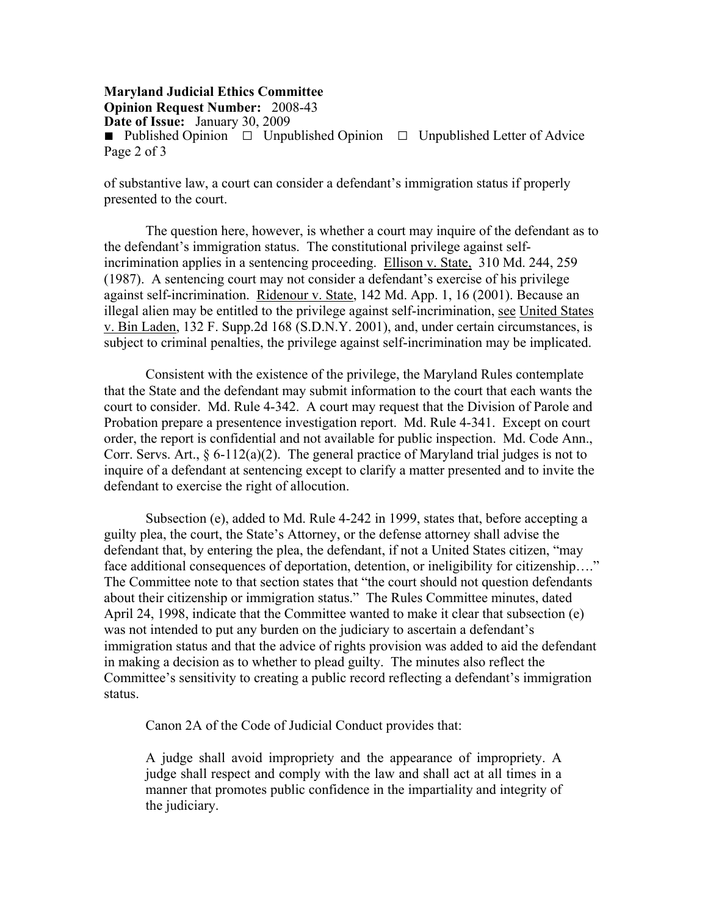**Maryland Judicial Ethics Committee Opinion Request Number:** 2008-43 **Date of Issue:** January 30, 2009 ■ Published Opinion □ Unpublished Opinion □ Unpublished Letter of Advice Page 2 of 3

of substantive law, a court can consider a defendant's immigration status if properly presented to the court.

The question here, however, is whether a court may inquire of the defendant as to the defendant's immigration status. The constitutional privilege against selfincrimination applies in a sentencing proceeding. Ellison v. State, 310 Md. 244, 259 (1987). A sentencing court may not consider a defendant's exercise of his privilege against self-incrimination. Ridenour v. State, 142 Md. App. 1, 16 (2001). Because an illegal alien may be entitled to the privilege against self-incrimination, see United States v. Bin Laden, 132 F. Supp.2d 168 (S.D.N.Y. 2001), and, under certain circumstances, is subject to criminal penalties, the privilege against self-incrimination may be implicated.

Consistent with the existence of the privilege, the Maryland Rules contemplate that the State and the defendant may submit information to the court that each wants the court to consider. Md. Rule 4-342. A court may request that the Division of Parole and Probation prepare a presentence investigation report. Md. Rule 4-341. Except on court order, the report is confidential and not available for public inspection. Md. Code Ann., Corr. Servs. Art.,  $\S 6-112(a)(2)$ . The general practice of Maryland trial judges is not to inquire of a defendant at sentencing except to clarify a matter presented and to invite the defendant to exercise the right of allocution.

Subsection (e), added to Md. Rule 4-242 in 1999, states that, before accepting a guilty plea, the court, the State's Attorney, or the defense attorney shall advise the defendant that, by entering the plea, the defendant, if not a United States citizen, "may face additional consequences of deportation, detention, or ineligibility for citizenship...." The Committee note to that section states that "the court should not question defendants about their citizenship or immigration status." The Rules Committee minutes, dated April 24, 1998, indicate that the Committee wanted to make it clear that subsection (e) was not intended to put any burden on the judiciary to ascertain a defendant's immigration status and that the advice of rights provision was added to aid the defendant in making a decision as to whether to plead guilty. The minutes also reflect the Committee's sensitivity to creating a public record reflecting a defendant's immigration status.

Canon 2A of the Code of Judicial Conduct provides that:

A judge shall avoid impropriety and the appearance of impropriety. A judge shall respect and comply with the law and shall act at all times in a manner that promotes public confidence in the impartiality and integrity of the judiciary.